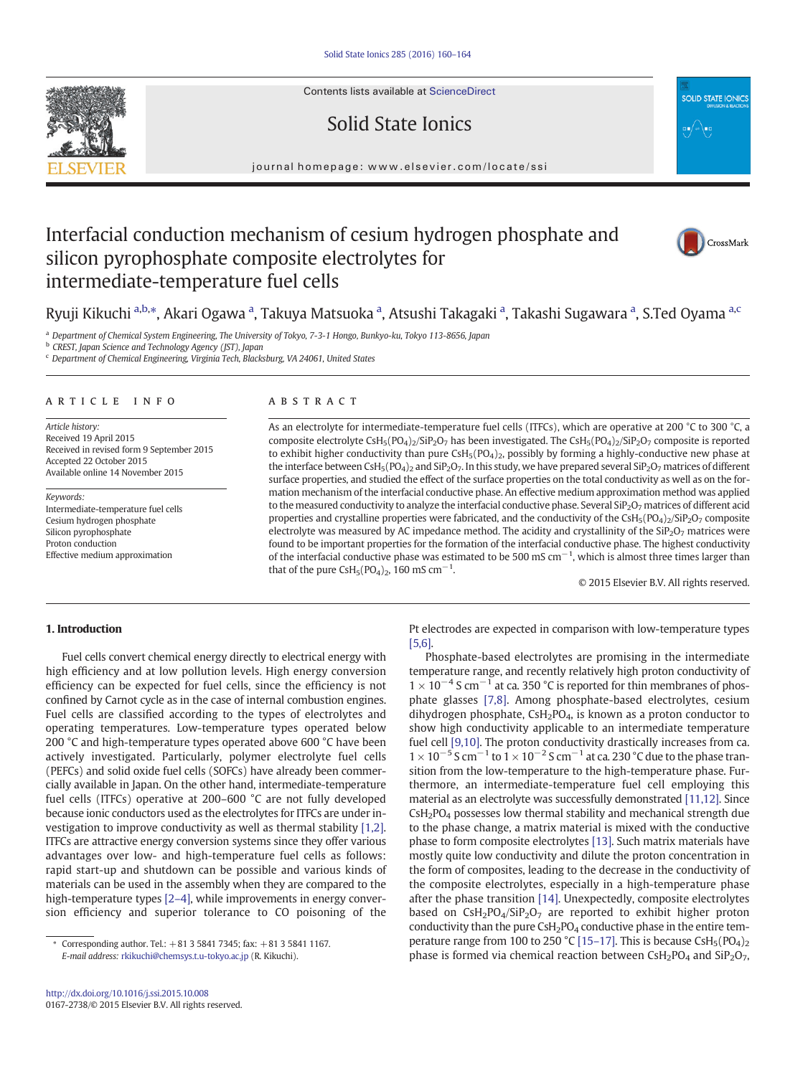Contents lists available at ScienceDirect

## Solid State Ionics



## Interfacial conduction mechanism of cesium hydrogen phosphate and silicon pyrophosphate composite electrolytes for intermediate-temperature fuel cells



**SOLID STATE IONIC** 

Ryuji Kikuchi <sup>a,b,</sup>\*, Akari Ogawa <sup>a</sup>, Takuya Matsuoka <sup>a</sup>, Atsushi Takagaki <sup>a</sup>, Takashi Sugawara <sup>a</sup>, S.Ted Oyama <sup>a,c</sup>

a Department of Chemical System Engineering, The University of Tokyo, 7-3-1 Hongo, Bunkyo-ku, Tokyo 113-8656, Japan

**b** CREST, Japan Science and Technology Agency (JST), Japan

<sup>c</sup> Department of Chemical Engineering, Virginia Tech, Blacksburg, VA 24061, United States

#### article info abstract

Article history: Received 19 April 2015 Received in revised form 9 September 2015 Accepted 22 October 2015 Available online 14 November 2015

Keywords: Intermediate-temperature fuel cells Cesium hydrogen phosphate Silicon pyrophosphate Proton conduction Effective medium approximation

As an electrolyte for intermediate-temperature fuel cells (ITFCs), which are operative at 200 °C to 300 °C, a composite electrolyte CsH<sub>5</sub>(PO<sub>4</sub>)<sub>2</sub>/SiP<sub>2</sub>O<sub>7</sub> has been investigated. The CsH<sub>5</sub>(PO<sub>4</sub>)<sub>2</sub>/SiP<sub>2</sub>O<sub>7</sub> composite is reported to exhibit higher conductivity than pure  $\text{CsH}_5(\text{PO}_4)_2$ , possibly by forming a highly-conductive new phase at the interface between CsH<sub>5</sub>(PO<sub>4</sub>)<sub>2</sub> and SiP<sub>2</sub>O<sub>7</sub>. In this study, we have prepared several SiP<sub>2</sub>O<sub>7</sub> matrices of different surface properties, and studied the effect of the surface properties on the total conductivity as well as on the formation mechanism of the interfacial conductive phase. An effective medium approximation method was applied to the measured conductivity to analyze the interfacial conductive phase. Several SiP<sub>2</sub>O<sub>7</sub> matrices of different acid properties and crystalline properties were fabricated, and the conductivity of the  $Csh<sub>5</sub>(PO<sub>4</sub>)<sub>2</sub>/SiP<sub>2</sub>O<sub>7</sub>$  composite electrolyte was measured by AC impedance method. The acidity and crystallinity of the  $SiP<sub>2</sub>O<sub>7</sub>$  matrices were found to be important properties for the formation of the interfacial conductive phase. The highest conductivity of the interfacial conductive phase was estimated to be 500 mS  $cm^{-1}$ , which is almost three times larger than that of the pure  $\text{CsH}_5(\text{PO}_4)_2$ , 160 mS cm<sup>-1</sup>.

© 2015 Elsevier B.V. All rights reserved.

#### 1. Introduction

Fuel cells convert chemical energy directly to electrical energy with high efficiency and at low pollution levels. High energy conversion efficiency can be expected for fuel cells, since the efficiency is not confined by Carnot cycle as in the case of internal combustion engines. Fuel cells are classified according to the types of electrolytes and operating temperatures. Low-temperature types operated below 200 °C and high-temperature types operated above 600 °C have been actively investigated. Particularly, polymer electrolyte fuel cells (PEFCs) and solid oxide fuel cells (SOFCs) have already been commercially available in Japan. On the other hand, intermediate-temperature fuel cells (ITFCs) operative at 200–600 °C are not fully developed because ionic conductors used as the electrolytes for ITFCs are under investigation to improve conductivity as well as thermal stability [\[1,2\].](#page--1-0) ITFCs are attractive energy conversion systems since they offer various advantages over low- and high-temperature fuel cells as follows: rapid start-up and shutdown can be possible and various kinds of materials can be used in the assembly when they are compared to the high-temperature types [\[2](#page--1-0)-4], while improvements in energy conversion efficiency and superior tolerance to CO poisoning of the

Pt electrodes are expected in comparison with low-temperature types [\[5,6\].](#page--1-0)

Phosphate-based electrolytes are promising in the intermediate temperature range, and recently relatively high proton conductivity of  $1 \times 10^{-4}$  S cm<sup>-1</sup> at ca. 350 °C is reported for thin membranes of phosphate glasses [\[7,8\].](#page--1-0) Among phosphate-based electrolytes, cesium dihydrogen phosphate,  $\text{CsH}_2\text{PO}_4$ , is known as a proton conductor to show high conductivity applicable to an intermediate temperature fuel cell [\[9,10\].](#page--1-0) The proton conductivity drastically increases from ca.  $1 \times 10^{-5}$  S cm<sup>-1</sup> to  $1 \times 10^{-2}$  S cm<sup>-1</sup> at ca. 230 °C due to the phase transition from the low-temperature to the high-temperature phase. Furthermore, an intermediate-temperature fuel cell employing this material as an electrolyte was successfully demonstrated [\[11,12\]](#page--1-0). Since  $CSH<sub>2</sub>PO<sub>4</sub>$  possesses low thermal stability and mechanical strength due to the phase change, a matrix material is mixed with the conductive phase to form composite electrolytes [\[13\].](#page--1-0) Such matrix materials have mostly quite low conductivity and dilute the proton concentration in the form of composites, leading to the decrease in the conductivity of the composite electrolytes, especially in a high-temperature phase after the phase transition [\[14\].](#page--1-0) Unexpectedly, composite electrolytes based on  $CsH_2PO_4/SiP_2O_7$  are reported to exhibit higher proton conductivity than the pure  $\text{CsH}_2\text{PO}_4$  conductive phase in the entire tem-perature range from 100 to 250 °C [15–[17\].](#page--1-0) This is because  $\text{CsH}_5(\text{PO}_4)_2$ phase is formed via chemical reaction between  $C_5H_2PO_4$  and  $SiP_2O_7$ ,



<sup>⁎</sup> Corresponding author. Tel.: +81 3 5841 7345; fax: +81 3 5841 1167. E-mail address: [rkikuchi@chemsys.t.u-tokyo.ac.jp](mailto:rkikuchi@chemsys.t.u-okyo.ac.jp) (R. Kikuchi).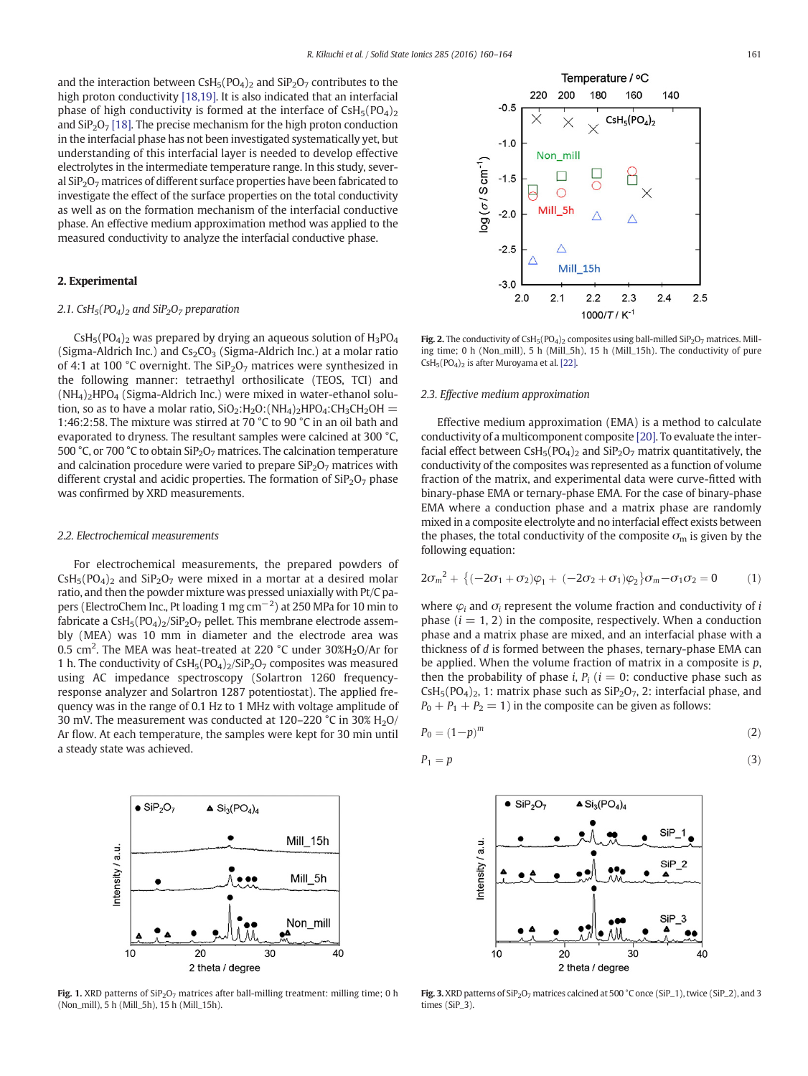and the interaction between  $\text{CsH}_5(\text{PO}_4)_2$  and  $\text{SiP}_2\text{O}_7$  contributes to the high proton conductivity [\[18,19\]](#page--1-0). It is also indicated that an interfacial phase of high conductivity is formed at the interface of  $\text{CsH}_5(\text{PO}_4)_2$ and  $\sin 207$  [\[18\].](#page--1-0) The precise mechanism for the high proton conduction in the interfacial phase has not been investigated systematically yet, but understanding of this interfacial layer is needed to develop effective electrolytes in the intermediate temperature range. In this study, several  $SiP<sub>2</sub>O<sub>7</sub>$  matrices of different surface properties have been fabricated to investigate the effect of the surface properties on the total conductivity as well as on the formation mechanism of the interfacial conductive phase. An effective medium approximation method was applied to the measured conductivity to analyze the interfacial conductive phase.

### 2. Experimental

#### 2.1. CsH<sub>5</sub>(PO<sub>4</sub>)<sub>2</sub> and SiP<sub>2</sub>O<sub>7</sub> preparation

 $CSH<sub>5</sub>(PO<sub>4</sub>)<sub>2</sub>$  was prepared by drying an aqueous solution of  $H<sub>3</sub>PO<sub>4</sub>$ (Sigma-Aldrich Inc.) and  $Cs<sub>2</sub>CO<sub>3</sub>$  (Sigma-Aldrich Inc.) at a molar ratio of 4:1 at 100 °C overnight. The  $\text{SiP}_2\text{O}_7$  matrices were synthesized in the following manner: tetraethyl orthosilicate (TEOS, TCI) and  $(NH_4)$ <sub>2</sub>HPO<sub>4</sub> (Sigma-Aldrich Inc.) were mixed in water-ethanol solution, so as to have a molar ratio,  $SiO_2$ : $H_2O$ : $(NH_4)$ <sub>2</sub> $HPO_4$ : $CH_3CH_2OH =$ 1:46:2:58. The mixture was stirred at 70 °C to 90 °C in an oil bath and evaporated to dryness. The resultant samples were calcined at 300 °C, 500 °C, or 700 °C to obtain SiP<sub>2</sub>O<sub>7</sub> matrices. The calcination temperature and calcination procedure were varied to prepare  $\text{SiP}_2\text{O}_7$  matrices with different crystal and acidic properties. The formation of  $\text{SiP}_2\text{O}_7$  phase was confirmed by XRD measurements.

#### 2.2. Electrochemical measurements

 $\bullet$  SiP<sub>2</sub>O<sub>7</sub>

For electrochemical measurements, the prepared powders of  $CSH<sub>5</sub>(PO<sub>4</sub>)<sub>2</sub>$  and  $SiP<sub>2</sub>O<sub>7</sub>$  were mixed in a mortar at a desired molar ratio, and then the powder mixture was pressed uniaxially with Pt/C papers (ElectroChem Inc., Pt loading 1 mg cm<sup>-2</sup>) at 250 MPa for 10 min to fabricate a  $CsH<sub>5</sub>(PO<sub>4</sub>)<sub>2</sub>/SiP<sub>2</sub>O<sub>7</sub>$  pellet. This membrane electrode assembly (MEA) was 10 mm in diameter and the electrode area was 0.5 cm<sup>2</sup>. The MEA was heat-treated at 220 °C under 30%H<sub>2</sub>O/Ar for 1 h. The conductivity of  $\text{CsH}_5(\text{PO}_4)_2/\text{SiP}_2\text{O}_7$  composites was measured using AC impedance spectroscopy (Solartron 1260 frequencyresponse analyzer and Solartron 1287 potentiostat). The applied frequency was in the range of 0.1 Hz to 1 MHz with voltage amplitude of 30 mV. The measurement was conducted at  $120-220$  °C in 30% H<sub>2</sub>O/ Ar flow. At each temperature, the samples were kept for 30 min until a steady state was achieved.



 $\triangle$  Si<sub>3</sub>(PO<sub>4</sub>)<sub>4</sub>

Fig. 1. XRD patterns of  $\text{SiP}_2\text{O}_7$  matrices after ball-milling treatment: milling time; 0 h (Non\_mill), 5 h (Mill\_5h), 15 h (Mill\_15h).



Fig. 2. The conductivity of CsH<sub>5</sub>(PO<sub>4</sub>)<sub>2</sub> composites using ball-milled SiP<sub>2</sub>O<sub>7</sub> matrices. Milling time; 0 h (Non\_mill), 5 h (Mill\_5h), 15 h (Mill\_15h). The conductivity of pure  $CsH<sub>5</sub>(PO<sub>4</sub>)<sub>2</sub>$  is after Muroyama et al. [\[22\].](#page--1-0)

#### 2.3. Effective medium approximation

Effective medium approximation (EMA) is a method to calculate conductivity of a multicomponent composite [\[20\]](#page--1-0). To evaluate the interfacial effect between  $\text{CsH}_5(\text{PO}_4)_2$  and  $\text{SiP}_2\text{O}_7$  matrix quantitatively, the conductivity of the composites was represented as a function of volume fraction of the matrix, and experimental data were curve-fitted with binary-phase EMA or ternary-phase EMA. For the case of binary-phase EMA where a conduction phase and a matrix phase are randomly mixed in a composite electrolyte and no interfacial effect exists between the phases, the total conductivity of the composite  $\sigma_{\rm m}$  is given by the following equation:

$$
2\sigma_m^2 + \{(-2\sigma_1 + \sigma_2)\varphi_1 + (-2\sigma_2 + \sigma_1)\varphi_2\}\sigma_m - \sigma_1\sigma_2 = 0 \qquad (1)
$$

where  $\varphi_i$  and  $\sigma_i$  represent the volume fraction and conductivity of *i* phase  $(i = 1, 2)$  in the composite, respectively. When a conduction phase and a matrix phase are mixed, and an interfacial phase with a thickness of d is formed between the phases, ternary-phase EMA can be applied. When the volume fraction of matrix in a composite is  $p$ , then the probability of phase *i*,  $P_i$  ( $i = 0$ : conductive phase such as  $\text{CsH}_5(\text{PO}_4)_2$ , 1: matrix phase such as  $\text{SiP}_2\text{O}_7$ , 2: interfacial phase, and  $P_0 + P_1 + P_2 = 1$ ) in the composite can be given as follows:

$$
P_0 = (1 - p)^m \tag{2}
$$

$$
P_1 = p \tag{3}
$$



Fig. 3. XRD patterns of  $\text{SiP}_2\text{O}_7$  matrices calcined at 500 °C once (SiP\_1), twice (SiP\_2), and 3 times (SiP\_3).